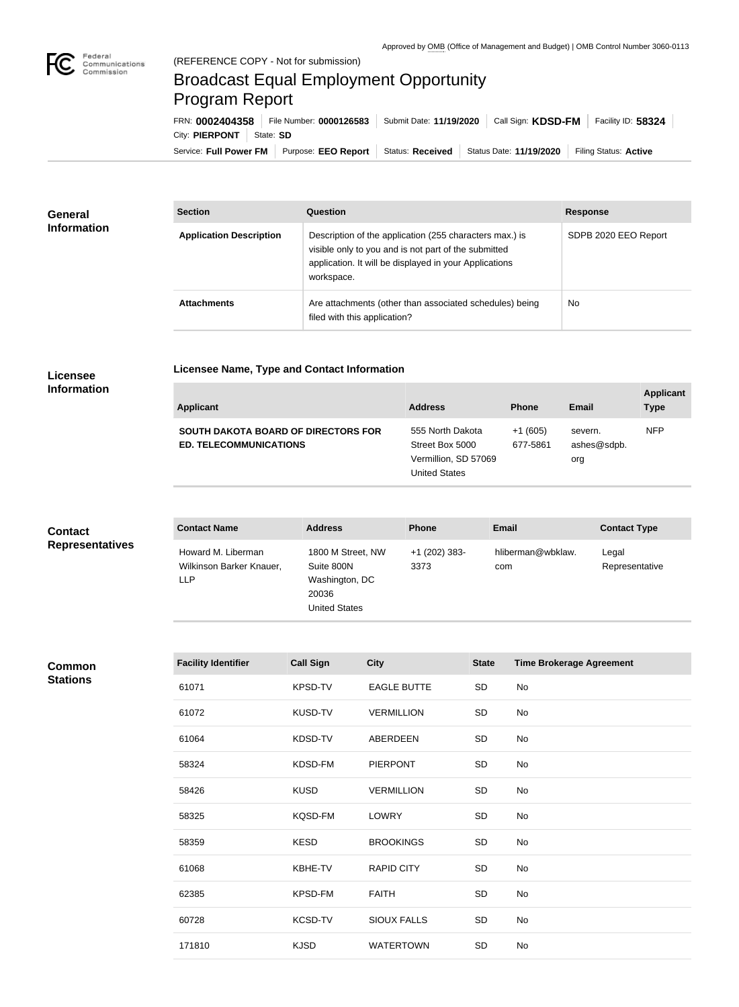

# Broadcast Equal Employment Opportunity Program Report

**Licensee Name, Type and Contact Information**

Service: Full Power FM Purpose: EEO Report | Status: Received | Status Date: 11/19/2020 | Filing Status: Active City: **PIERPONT** | State: SD FRN: **0002404358** File Number: **0000126583** Submit Date: **11/19/2020** Call Sign: **KDSD-FM** Facility ID: **58324**

| General<br><b>Information</b> | <b>Section</b>                 | Question                                                                                                                                                                                | <b>Response</b>      |
|-------------------------------|--------------------------------|-----------------------------------------------------------------------------------------------------------------------------------------------------------------------------------------|----------------------|
|                               | <b>Application Description</b> | Description of the application (255 characters max.) is<br>visible only to you and is not part of the submitted<br>application. It will be displayed in your Applications<br>workspace. | SDPB 2020 EEO Report |
|                               | <b>Attachments</b>             | Are attachments (other than associated schedules) being<br>filed with this application?                                                                                                 | <b>No</b>            |

#### **Licensee Information**

| <b>Applicant</b>                                                            | <b>Address</b>                                                                      | <b>Phone</b>          | Email                         | <b>Applicant</b><br><b>Type</b> |
|-----------------------------------------------------------------------------|-------------------------------------------------------------------------------------|-----------------------|-------------------------------|---------------------------------|
| <b>SOUTH DAKOTA BOARD OF DIRECTORS FOR</b><br><b>ED. TELECOMMUNICATIONS</b> | 555 North Dakota<br>Street Box 5000<br>Vermillion, SD 57069<br><b>United States</b> | $+1(605)$<br>677-5861 | severn.<br>ashes@sdpb.<br>org | <b>NFP</b>                      |

| <b>Contact</b>         | <b>Contact Name</b>                                          | <b>Address</b>                                                                     | <b>Phone</b>          | <b>Email</b>             | <b>Contact Type</b>     |
|------------------------|--------------------------------------------------------------|------------------------------------------------------------------------------------|-----------------------|--------------------------|-------------------------|
| <b>Representatives</b> | Howard M. Liberman<br>Wilkinson Barker Knauer,<br><b>LLP</b> | 1800 M Street, NW<br>Suite 800N<br>Washington, DC<br>20036<br><b>United States</b> | +1 (202) 383-<br>3373 | hliberman@wbklaw.<br>com | Legal<br>Representative |

### **Common Stations**

| <b>Facility Identifier</b> | <b>Call Sign</b> | <b>City</b>        | <b>State</b> | <b>Time Brokerage Agreement</b> |
|----------------------------|------------------|--------------------|--------------|---------------------------------|
| 61071                      | KPSD-TV          | <b>EAGLE BUTTE</b> | SD           | No                              |
| 61072                      | <b>KUSD-TV</b>   | <b>VERMILLION</b>  | SD           | No                              |
| 61064                      | KDSD-TV          | ABERDEEN           | SD           | No                              |
| 58324                      | KDSD-FM          | <b>PIERPONT</b>    | SD           | No                              |
| 58426                      | <b>KUSD</b>      | <b>VERMILLION</b>  | SD           | No                              |
| 58325                      | KQSD-FM          | <b>LOWRY</b>       | SD           | No                              |
| 58359                      | <b>KESD</b>      | <b>BROOKINGS</b>   | SD           | No                              |
| 61068                      | KBHE-TV          | <b>RAPID CITY</b>  | SD           | No                              |
| 62385                      | KPSD-FM          | <b>FAITH</b>       | SD           | No                              |
| 60728                      | KCSD-TV          | <b>SIOUX FALLS</b> | <b>SD</b>    | No                              |
| 171810                     | <b>KJSD</b>      | <b>WATERTOWN</b>   | SD           | No                              |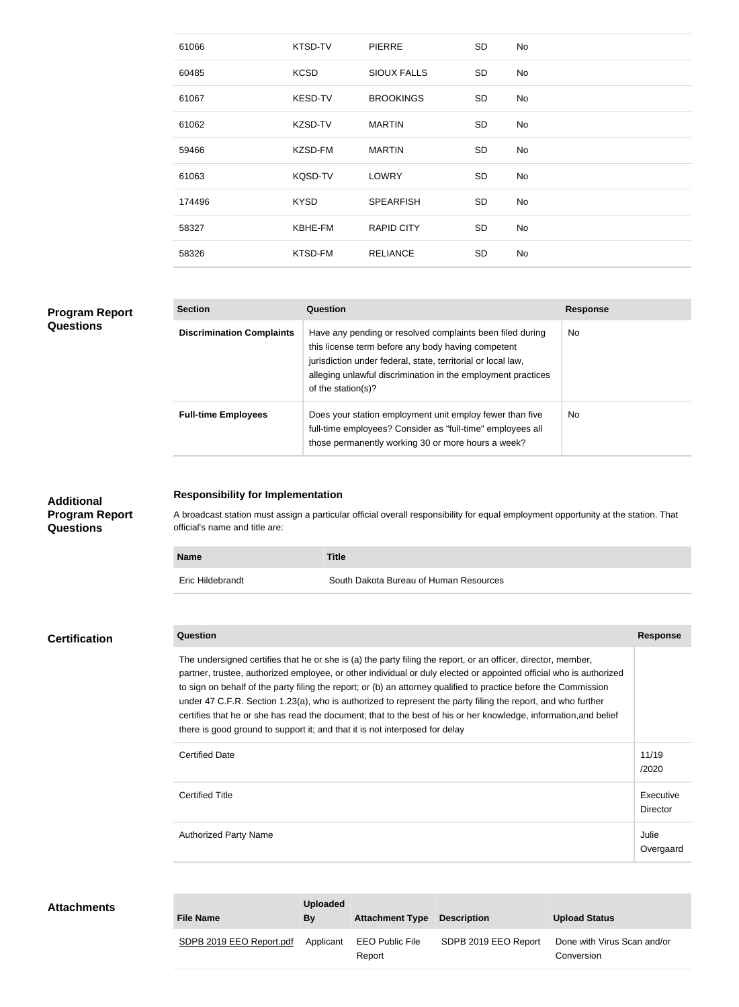| 61066  | KTSD-TV        | <b>PIERRE</b>      | SD        | No |
|--------|----------------|--------------------|-----------|----|
| 60485  | <b>KCSD</b>    | <b>SIOUX FALLS</b> | <b>SD</b> | No |
| 61067  | <b>KESD-TV</b> | <b>BROOKINGS</b>   | <b>SD</b> | No |
| 61062  | KZSD-TV        | <b>MARTIN</b>      | <b>SD</b> | No |
| 59466  | KZSD-FM        | <b>MARTIN</b>      | SD        | No |
| 61063  | KQSD-TV        | <b>LOWRY</b>       | <b>SD</b> | No |
| 174496 | <b>KYSD</b>    | <b>SPEARFISH</b>   | SD        | No |
| 58327  | KBHE-FM        | <b>RAPID CITY</b>  | <b>SD</b> | No |
| 58326  | KTSD-FM        | <b>RELIANCE</b>    | <b>SD</b> | No |

#### **Program Report Questions**

| <b>Section</b>                   | Question                                                                                                                                                                                                                                                              | <b>Response</b> |
|----------------------------------|-----------------------------------------------------------------------------------------------------------------------------------------------------------------------------------------------------------------------------------------------------------------------|-----------------|
| <b>Discrimination Complaints</b> | Have any pending or resolved complaints been filed during<br>this license term before any body having competent<br>jurisdiction under federal, state, territorial or local law,<br>alleging unlawful discrimination in the employment practices<br>of the station(s)? | No.             |
| <b>Full-time Employees</b>       | Does your station employment unit employ fewer than five<br>full-time employees? Consider as "full-time" employees all<br>those permanently working 30 or more hours a week?                                                                                          | No.             |

#### **Additional Program Report Questions**

#### **Responsibility for Implementation**

A broadcast station must assign a particular official overall responsibility for equal employment opportunity at the station. That official's name and title are:

| <b>Name</b>      | <b>Title</b>                           |
|------------------|----------------------------------------|
| Eric Hildebrandt | South Dakota Bureau of Human Resources |

## **Question Response** The undersigned certifies that he or she is (a) the party filing the report, or an officer, director, member, partner, trustee, authorized employee, or other individual or duly elected or appointed official who is authorized to sign on behalf of the party filing the report; or (b) an attorney qualified to practice before the Commission under 47 C.F.R. Section 1.23(a), who is authorized to represent the party filing the report, and who further certifies that he or she has read the document; that to the best of his or her knowledge, information,and belief there is good ground to support it; and that it is not interposed for delay Certified Date 11/19 /2020 Certified Title Executive Director Authorized Party Name **Julie 1996** and the set of the set of the set of the set of the set of the set of the set of the set of the set of the set of the set of the set of the set of the set of the set of the set of the set Overgaard **Certification**

| <b>Attachments</b> | <b>File Name</b>         | <b>Uploaded</b><br>By | <b>Attachment Type Description</b> |                      | <b>Upload Status</b>                      |
|--------------------|--------------------------|-----------------------|------------------------------------|----------------------|-------------------------------------------|
|                    | SDPB 2019 EEO Report.pdf | Applicant             | EEO Public File<br>Report          | SDPB 2019 EEO Report | Done with Virus Scan and/or<br>Conversion |